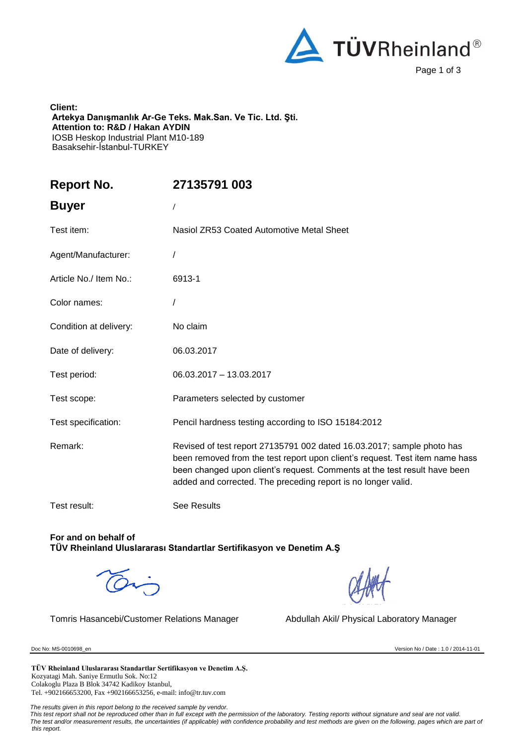

**Client: Artekya Danışmanlık Ar-Ge Teks. Mak.San. Ve Tic. Ltd. Şti. Attention to: R&D / Hakan AYDIN** IOSB Heskop Industrial Plant M10-189 Basaksehir-İstanbul-TURKEY

| <b>Report No.</b>      | 27135791 003                                                                                                                                                                                                                                                                                         |
|------------------------|------------------------------------------------------------------------------------------------------------------------------------------------------------------------------------------------------------------------------------------------------------------------------------------------------|
| <b>Buyer</b>           |                                                                                                                                                                                                                                                                                                      |
| Test item:             | Nasiol ZR53 Coated Automotive Metal Sheet                                                                                                                                                                                                                                                            |
| Agent/Manufacturer:    |                                                                                                                                                                                                                                                                                                      |
| Article No./ Item No.: | 6913-1                                                                                                                                                                                                                                                                                               |
| Color names:           |                                                                                                                                                                                                                                                                                                      |
| Condition at delivery: | No claim                                                                                                                                                                                                                                                                                             |
| Date of delivery:      | 06.03.2017                                                                                                                                                                                                                                                                                           |
| Test period:           | 06.03.2017 - 13.03.2017                                                                                                                                                                                                                                                                              |
| Test scope:            | Parameters selected by customer                                                                                                                                                                                                                                                                      |
| Test specification:    | Pencil hardness testing according to ISO 15184:2012                                                                                                                                                                                                                                                  |
| Remark:                | Revised of test report 27135791 002 dated 16.03.2017; sample photo has<br>been removed from the test report upon client's request. Test item name hass<br>been changed upon client's request. Comments at the test result have been<br>added and corrected. The preceding report is no longer valid. |
| Test result:           | See Results                                                                                                                                                                                                                                                                                          |

**For and on behalf of TÜV Rheinland Uluslararası Standartlar Sertifikasyon ve Denetim A.Ş**

Tomris Hasancebi/Customer Relations Manager Abdullah Akil/ Physical Laboratory Manager

Doc No: MS-0010698\_en Version No / Date : 1.0 / 2014-11-01

**TÜV Rheinland Uluslararası Standartlar Sertifikasyon ve Denetim A.Ş.** Kozyatagi Mah. Saniye Ermutlu Sok. No:12 Colakoglu Plaza B Blok 34742 Kadikoy Istanbul, Tel. +902166653200, Fax +902166653256, e-mail: info@tr.tuv.com

 *The results given in this report belong to the received sample by vendor.* 

 *This test report shall not be reproduced other than in full except with the permission of the laboratory. Testing reports without signature and seal are not valid. The test and/or measurement results, the uncertainties (if applicable) with confidence probability and test methods are given on the following, pages which are part of this report.*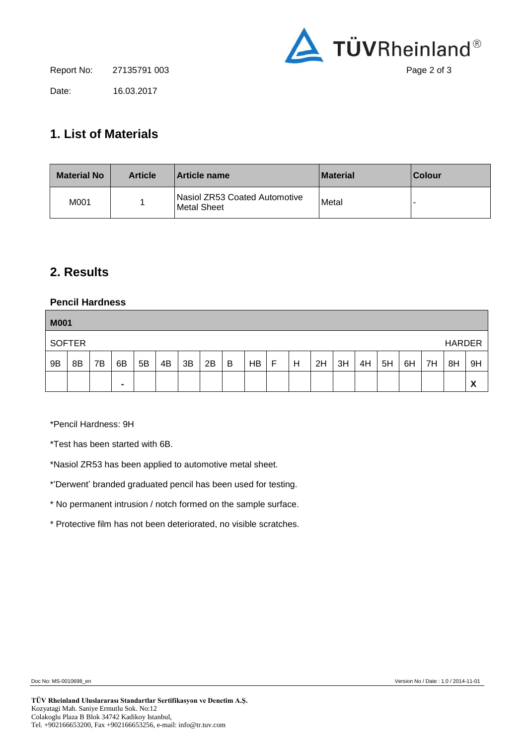

Date: 16.03.2017

## **1. List of Materials**

| <b>Material No</b> | <b>Article</b> | <b>Article name</b>                           | <b>Material</b> | <b>Colour</b> |
|--------------------|----------------|-----------------------------------------------|-----------------|---------------|
| M001               |                | lNasiol ZR53 Coated Automotive<br>Metal Sheet | Metal           |               |

## **2. Results**

## **Pencil Hardness**

| <b>M001</b> |               |    |                |    |    |    |    |   |    |   |   |    |    |    |    |    |    |               |    |
|-------------|---------------|----|----------------|----|----|----|----|---|----|---|---|----|----|----|----|----|----|---------------|----|
|             | <b>SOFTER</b> |    |                |    |    |    |    |   |    |   |   |    |    |    |    |    |    | <b>HARDER</b> |    |
| 9B          | 8B            | 7B | 6B             | 5B | 4B | 3B | 2B | В | HB | F | H | 2H | 3H | 4H | 5H | 6H | 7H | 8H            | 9H |
|             |               |    | $\blacksquare$ |    |    |    |    |   |    |   |   |    |    |    |    |    |    |               | X  |

\*Pencil Hardness: 9H

\*Test has been started with 6B.

\*Nasiol ZR53 has been applied to automotive metal sheet.

\*'Derwent' branded graduated pencil has been used for testing.

\* No permanent intrusion / notch formed on the sample surface.

\* Protective film has not been deteriorated, no visible scratches.